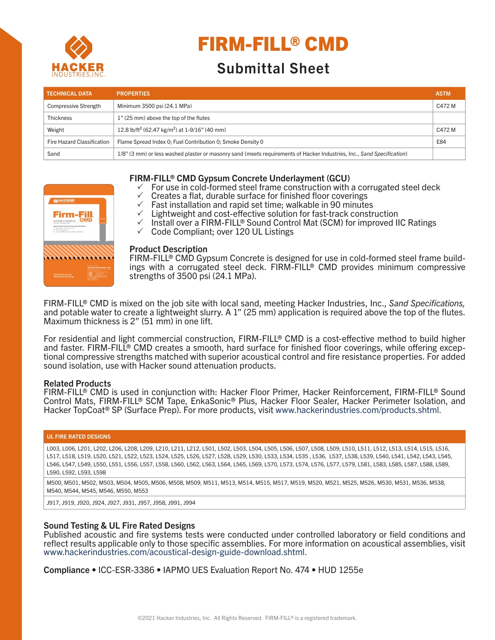

# FIRM-FILL® CMD

# Submittal Sheet

| <b>TECHNICAL DATA</b>       | <b>PROPERTIES</b>                                                                                                      | <b>ASTM</b> |
|-----------------------------|------------------------------------------------------------------------------------------------------------------------|-------------|
| <b>Compressive Strength</b> | Minimum 3500 psi (24.1 MPa)                                                                                            | C472 M      |
| <b>Thickness</b>            | 1" (25 mm) above the top of the flutes                                                                                 |             |
| Weight                      | 12.8 lb/ft <sup>2</sup> (62.47 kg/m <sup>2</sup> ) at 1-9/16" (40 mm)                                                  | C472 M      |
| Fire Hazard Classification  | Flame Spread Index 0; Fuel Contribution 0; Smoke Density 0                                                             | E84         |
| Sand                        | 1/8" (3 mm) or less washed plaster or masonry sand (meets requirements of Hacker Industries, Inc., Sand Specification) |             |

# FIRM-FILL® CMD Gypsum Concrete Underlayment (GCU)

- $\checkmark$  For use in cold-formed steel frame construction with a corrugated steel deck
- Creates a flat, durable surface for finished floor coverings
- $\checkmark$  Fast installation and rapid set time; walkable in 90 minutes
- $\checkmark$  Lightweight and cost-effective solution for fast-track construction
- $\checkmark$  Install over a FIRM-FILL® Sound Control Mat (SCM) for improved IIC Ratings  $\checkmark$  Code Compliant; over 120 UL Listings



# Product Description

FIRM-FILL<sup>®</sup> CMD Gypsum Concrete is designed for use in cold-formed steel frame build-<br>ings with a corrugated steel deck. FIRM-FILL® CMD provides minimum compressive strengths of 3500 psi (24.1 MPa).

FIRM-FILL® CMD is mixed on the job site with local sand, meeting Hacker Industries, Inc., *Sand Specifications,*  and potable water to create a lightweight slurry. A 1" (25 mm) application is required above the top of the flutes. Maximum thickness is 2" (51 mm) in one lift.

For residential and light commercial construction, FIRM-FILL® CMD is a cost-effective method to build higher and faster. FIRM-FILL® CMD creates a smooth, hard surface for finished floor coverings, while offering excep-<br>tional compressive strengths matched with superior acoustical control and fire resistance properties. For added sound isolation, use with Hacker sound attenuation products.

# Related Products

FIRM-FILL® CMD is used in conjunction with: Hacker Floor Primer, Hacker Reinforcement, FIRM-FILL® Sound Control Mats, FIRM-FILL® SCM Tape, EnkaSonic® Plus, Hacker Floor Sealer, Hacker Perimeter Isolation, and Hacker TopCoat® SP (Surface Prep). For more products, visit www.hackerindustries.com/products.shtml.

#### UL FIRE RATED DESIGNS

L003, L006, L201, L202, L206, L208, L209, L210, L211, L212, L501, L502, L503, L504, L505, L506, L507, L508, L509, L510, L511, L512, L513, L514, L515, L516, L517, L518, L519, L520, L521, L522, L523, L524, L525, L526, L527, L528, L529, L530, L533, L534, L535 , L536, L537, L538, L539, L540, L541, L542, L543, L545, L546, L547, L549, L550, L551, L556, L557, L558, L560, L562, L563, L564, L565, L569, L570, L573, L574, L576, L577, L579, L581, L583, L585, L587, L588, L589, L590, L592, L593, L598

M500, M501, M502, M503, M504, M505, M506, M508, M509, M511, M513, M514, M515, M517, M519, M520, M521, M525, M526, M530, M531, M536, M538, M540, M544, M545, M546, M550, M553

J917, J919, J920, J924, J927, J931, J957, J958, J991, J994

# Sound Testing & UL Fire Rated Designs

Published acoustic and fire systems tests were conducted under controlled laboratory or field conditions and reflect results applicable only to those specific assemblies. For more information on acoustical assemblies, visit www.hackerindustries.com/acoustical-design-guide-download.shtml.

Compliance • ICC-ESR-3386 • IAPMO UES Evaluation Report No. 474 • HUD 1255e